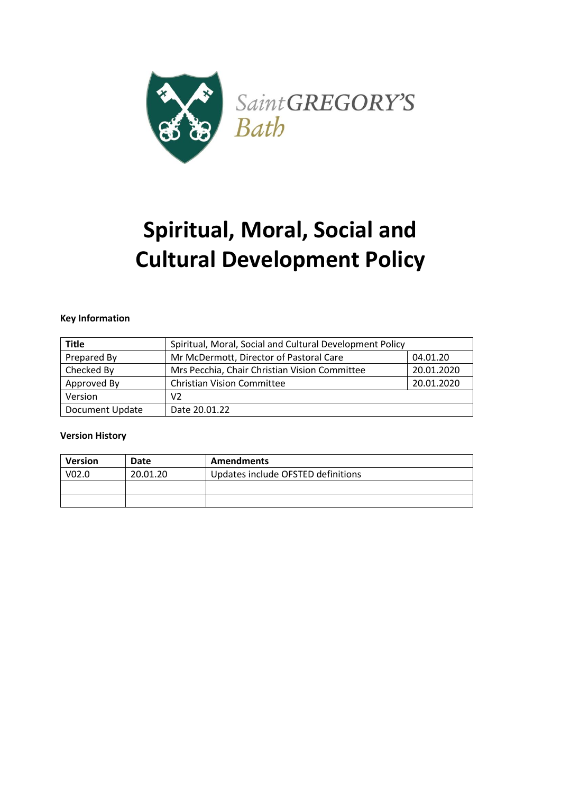

# **Spiritual, Moral, Social and Cultural Development Policy**

## **Key Information**

| <b>Title</b>    | Spiritual, Moral, Social and Cultural Development Policy    |  |
|-----------------|-------------------------------------------------------------|--|
| Prepared By     | Mr McDermott, Director of Pastoral Care<br>04.01.20         |  |
| Checked By      | Mrs Pecchia, Chair Christian Vision Committee<br>20.01.2020 |  |
| Approved By     | 20.01.2020<br><b>Christian Vision Committee</b>             |  |
| Version         | V <sub>2</sub>                                              |  |
| Document Update | Date 20.01.22                                               |  |

#### **Version History**

| <b>Version</b>    | Date     | <b>Amendments</b>                  |
|-------------------|----------|------------------------------------|
| V <sub>02.0</sub> | 20.01.20 | Updates include OFSTED definitions |
|                   |          |                                    |
|                   |          |                                    |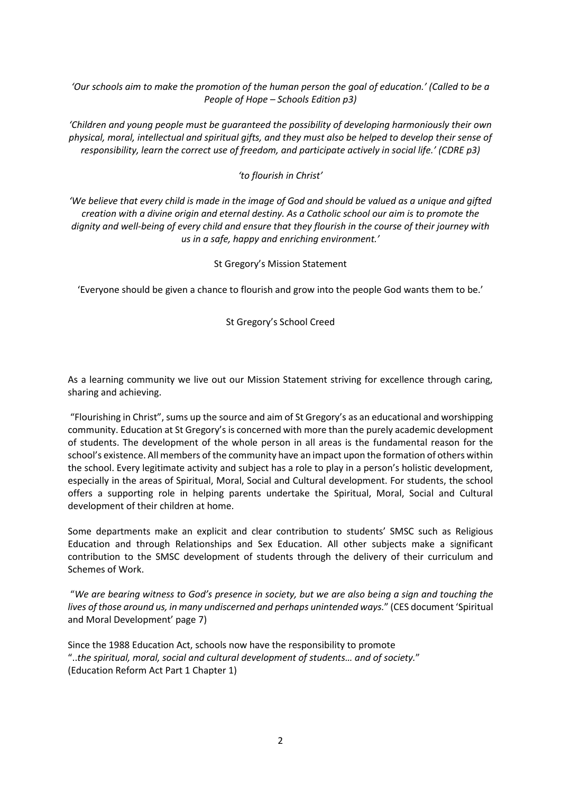*'Our schools aim to make the promotion of the human person the goal of education.' (Called to be a People of Hope – Schools Edition p3)*

*'Children and young people must be guaranteed the possibility of developing harmoniously their own physical, moral, intellectual and spiritual gifts, and they must also be helped to develop their sense of responsibility, learn the correct use of freedom, and participate actively in social life.' (CDRE p3)*

## *'to flourish in Christ'*

*'We believe that every child is made in the image of God and should be valued as a unique and gifted creation with a divine origin and eternal destiny. As a Catholic school our aim is to promote the dignity and well-being of every child and ensure that they flourish in the course of their journey with us in a safe, happy and enriching environment.'* 

St Gregory's Mission Statement

'Everyone should be given a chance to flourish and grow into the people God wants them to be.'

St Gregory's School Creed

As a learning community we live out our Mission Statement striving for excellence through caring, sharing and achieving.

"Flourishing in Christ", sums up the source and aim of St Gregory's as an educational and worshipping community. Education at St Gregory's is concerned with more than the purely academic development of students. The development of the whole person in all areas is the fundamental reason for the school's existence. All members of the community have an impact upon the formation of others within the school. Every legitimate activity and subject has a role to play in a person's holistic development, especially in the areas of Spiritual, Moral, Social and Cultural development. For students, the school offers a supporting role in helping parents undertake the Spiritual, Moral, Social and Cultural development of their children at home.

Some departments make an explicit and clear contribution to students' SMSC such as Religious Education and through Relationships and Sex Education. All other subjects make a significant contribution to the SMSC development of students through the delivery of their curriculum and Schemes of Work.

"*We are bearing witness to God's presence in society, but we are also being a sign and touching the lives of those around us, in many undiscerned and perhaps unintended ways.*" (CES document 'Spiritual and Moral Development' page 7)

Since the 1988 Education Act, schools now have the responsibility to promote "..*the spiritual, moral, social and cultural development of students… and of society.*" (Education Reform Act Part 1 Chapter 1)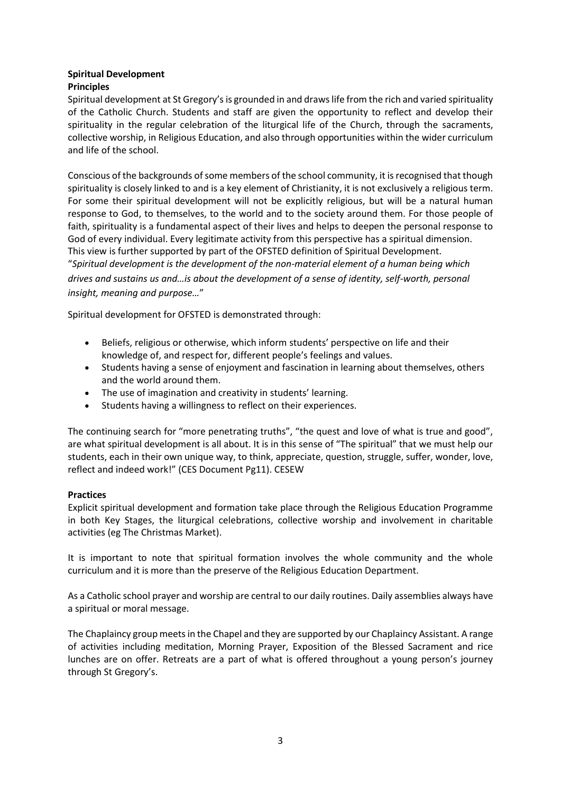## **Spiritual Development Principles**

Spiritual development at St Gregory's is grounded in and draws life from the rich and varied spirituality of the Catholic Church. Students and staff are given the opportunity to reflect and develop their spirituality in the regular celebration of the liturgical life of the Church, through the sacraments, collective worship, in Religious Education, and also through opportunities within the wider curriculum and life of the school.

Conscious of the backgrounds of some members of the school community, it is recognised that though spirituality is closely linked to and is a key element of Christianity, it is not exclusively a religious term. For some their spiritual development will not be explicitly religious, but will be a natural human response to God, to themselves, to the world and to the society around them. For those people of faith, spirituality is a fundamental aspect of their lives and helps to deepen the personal response to God of every individual. Every legitimate activity from this perspective has a spiritual dimension. This view is further supported by part of the OFSTED definition of Spiritual Development. "*Spiritual development is the development of the non-material element of a human being which drives and sustains us and…is about the development of a sense of identity, self-worth, personal insight, meaning and purpose…*"

Spiritual development for OFSTED is demonstrated through:

- Beliefs, religious or otherwise, which inform students' perspective on life and their knowledge of, and respect for, different people's feelings and values.
- Students having a sense of enjoyment and fascination in learning about themselves, others and the world around them.
- The use of imagination and creativity in students' learning.
- Students having a willingness to reflect on their experiences.

The continuing search for "more penetrating truths", "the quest and love of what is true and good", are what spiritual development is all about. It is in this sense of "The spiritual" that we must help our students, each in their own unique way, to think, appreciate, question, struggle, suffer, wonder, love, reflect and indeed work!" (CES Document Pg11). CESEW

# **Practices**

Explicit spiritual development and formation take place through the Religious Education Programme in both Key Stages, the liturgical celebrations, collective worship and involvement in charitable activities (eg The Christmas Market).

It is important to note that spiritual formation involves the whole community and the whole curriculum and it is more than the preserve of the Religious Education Department.

As a Catholic school prayer and worship are central to our daily routines. Daily assemblies always have a spiritual or moral message.

The Chaplaincy group meets in the Chapel and they are supported by our Chaplaincy Assistant. A range of activities including meditation, Morning Prayer, Exposition of the Blessed Sacrament and rice lunches are on offer. Retreats are a part of what is offered throughout a young person's journey through St Gregory's.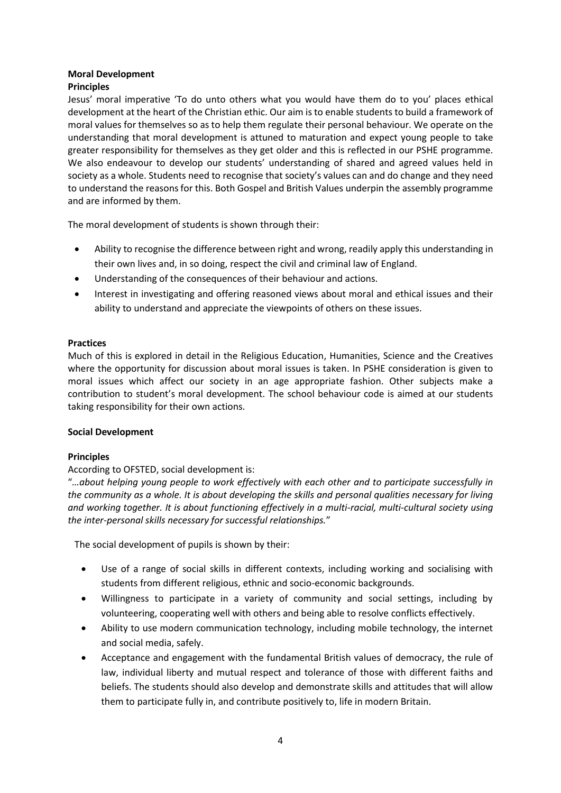# **Moral Development**

## **Principles**

Jesus' moral imperative 'To do unto others what you would have them do to you' places ethical development at the heart of the Christian ethic. Our aim is to enable students to build a framework of moral values for themselves so as to help them regulate their personal behaviour. We operate on the understanding that moral development is attuned to maturation and expect young people to take greater responsibility for themselves as they get older and this is reflected in our PSHE programme. We also endeavour to develop our students' understanding of shared and agreed values held in society as a whole. Students need to recognise that society's values can and do change and they need to understand the reasons for this. Both Gospel and British Values underpin the assembly programme and are informed by them.

The moral development of students is shown through their:

- Ability to recognise the difference between right and wrong, readily apply this understanding in their own lives and, in so doing, respect the civil and criminal law of England.
- Understanding of the consequences of their behaviour and actions.
- Interest in investigating and offering reasoned views about moral and ethical issues and their ability to understand and appreciate the viewpoints of others on these issues.

#### **Practices**

Much of this is explored in detail in the Religious Education, Humanities, Science and the Creatives where the opportunity for discussion about moral issues is taken. In PSHE consideration is given to moral issues which affect our society in an age appropriate fashion. Other subjects make a contribution to student's moral development. The school behaviour code is aimed at our students taking responsibility for their own actions.

#### **Social Development**

# **Principles**

# According to OFSTED, social development is:

"...about helping young people to work effectively with each other and to participate successfully in *the community as a whole. It is about developing the skills and personal qualities necessary for living and working together. It is about functioning effectively in a multi-racial, multi-cultural society using the inter-personal skills necessary for successful relationships.*"

The social development of pupils is shown by their:

- Use of a range of social skills in different contexts, including working and socialising with students from different religious, ethnic and socio-economic backgrounds.
- Willingness to participate in a variety of community and social settings, including by volunteering, cooperating well with others and being able to resolve conflicts effectively.
- Ability to use modern communication technology, including mobile technology, the internet and social media, safely.
- Acceptance and engagement with the fundamental British values of democracy, the rule of law, individual liberty and mutual respect and tolerance of those with different faiths and beliefs. The students should also develop and demonstrate skills and attitudes that will allow them to participate fully in, and contribute positively to, life in modern Britain.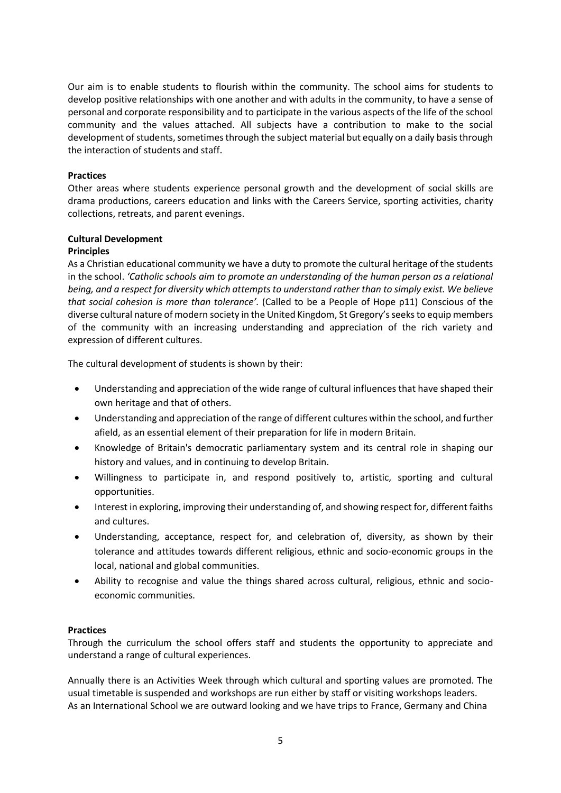Our aim is to enable students to flourish within the community. The school aims for students to develop positive relationships with one another and with adults in the community, to have a sense of personal and corporate responsibility and to participate in the various aspects of the life of the school community and the values attached. All subjects have a contribution to make to the social development of students, sometimes through the subject material but equally on a daily basis through the interaction of students and staff.

## **Practices**

Other areas where students experience personal growth and the development of social skills are drama productions, careers education and links with the Careers Service, sporting activities, charity collections, retreats, and parent evenings.

# **Cultural Development**

## **Principles**

As a Christian educational community we have a duty to promote the cultural heritage of the students in the school. *'Catholic schools aim to promote an understanding of the human person as a relational being, and a respect for diversity which attempts to understand rather than to simply exist. We believe that social cohesion is more than tolerance'.* (Called to be a People of Hope p11) Conscious of the diverse cultural nature of modern society in the United Kingdom, St Gregory's seeks to equip members of the community with an increasing understanding and appreciation of the rich variety and expression of different cultures.

The cultural development of students is shown by their:

- Understanding and appreciation of the wide range of cultural influences that have shaped their own heritage and that of others.
- Understanding and appreciation of the range of different cultures within the school, and further afield, as an essential element of their preparation for life in modern Britain.
- Knowledge of Britain's democratic parliamentary system and its central role in shaping our history and values, and in continuing to develop Britain.
- Willingness to participate in, and respond positively to, artistic, sporting and cultural opportunities.
- Interest in exploring, improving their understanding of, and showing respect for, different faiths and cultures.
- Understanding, acceptance, respect for, and celebration of, diversity, as shown by their tolerance and attitudes towards different religious, ethnic and socio-economic groups in the local, national and global communities.
- Ability to recognise and value the things shared across cultural, religious, ethnic and socioeconomic communities.

#### **Practices**

Through the curriculum the school offers staff and students the opportunity to appreciate and understand a range of cultural experiences.

Annually there is an Activities Week through which cultural and sporting values are promoted. The usual timetable is suspended and workshops are run either by staff or visiting workshops leaders. As an International School we are outward looking and we have trips to France, Germany and China